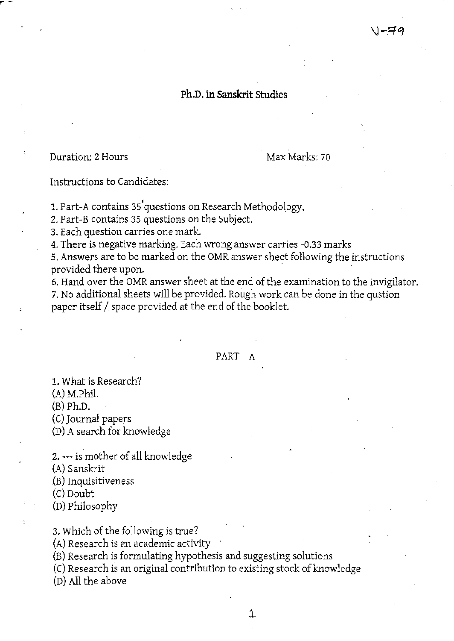# **ph.D. in Sanskrit Studies**

Duration: 2 Hours Max Marks: 70

c -

Instructions to Candidates:

1. Part-A contains 35' questions on Research Methodology.

2. Part-B contains 35 questions on the Subject.

3. Each question carries one mark.

4. There is negative marking. Each wrong answer carries -0.33 marks

5. Answers are to be marked on the OMR answer sheet following the instructions proVided there upon. .

6. Hand over the OMR answer sheet at the end of the examination to the invigilator. 7. No additional sheets will be provided. Rough work can be done in the qustion paper itself / space provided at the end of the booklet.

### PART-A

1. What is Research?

(A) M.phi!.

(B) ph.D.

(C) Journal papers

(D) A search for knowledge

2. --- is mother of all knowledge

(A) Sanskrit

(B) Inquisitiveness

(C) Doubt

(D) philosophy

3. Which of the following is true?

(A) Research is an academic activity

(B) Research is formulating hypothesis and suggesting solutions

(C) Research is an original contribution to existing stock of knowledge

(D) All the above

.1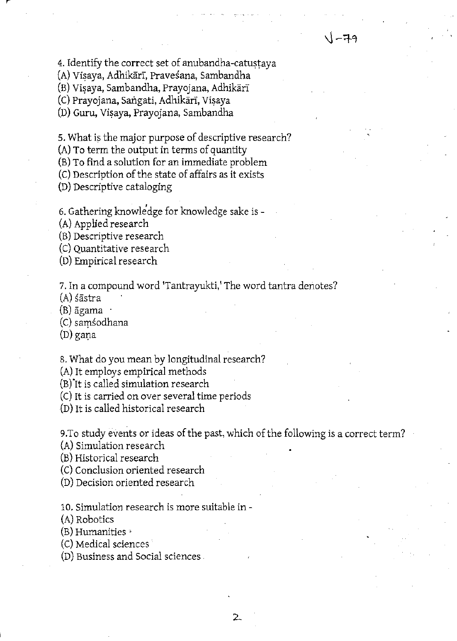4. Identify the correct set of anubandha-catustaya

(A) Visaya, Adhikārī, Praveśana, Sambandha

(B) Visaya, Sambandha, Prayojana, Adhikārī

(C) Prayojana, Sangati, Adhikārī, Visaya

(D) Guru, Visaya, Prayojana, Sambandha

5. What is the major purpose of descriptive research?

(A) To term the output in terms of quantity

(B) To find a solution for an immediate problem

(C) Description of the state of affairs as it exists

(D) Descriptive cataloging

, 6. Gathering knowledge for knowledge sake is -

(A) Applied research

(B) Descriptive research

(C) Quantitative research

(D) Empirical research

7. In a compound word 'Tantrayukti,' The word tantra denotes?

(A) sastra

(B) agama .

(C) samsodhana

 $(D)$  gana

8. What do you mean by longitudinal research?

(A) It employs empirical methods

(B)'It is called simulation research

(C) It is carried on over several time periods

(D) It is called historical research

9.To study events or ideas of the past, which of the following is a correct term?

(A) Simulation research

(B) Historical research

(C) Conclusion oriented research

(D) Decision oriented research

10. Simulation research is more suitable in-

(A) Robotics

 $(B)$  Humanities  $\cdot$ 

(C) Medical sciences

(D) Business and Social sciences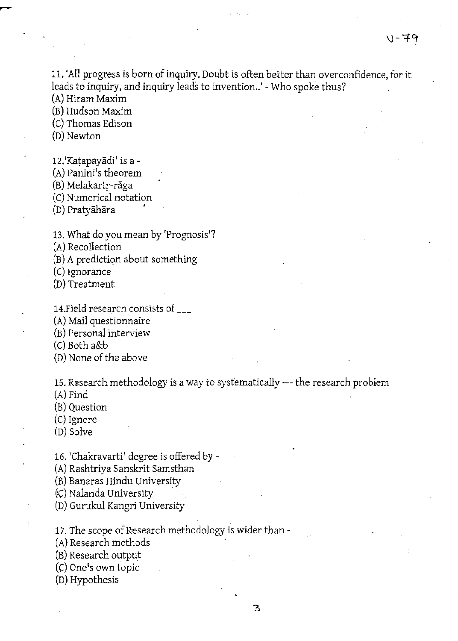11. 'All progress is born of inquiry. Doubt is often better than overconfidence, for it leads to inquiry, and inquiry leads to invention..' - Who spoke thus?

(A) Hiram Maxim

(B) Hudson Maxim

(C) Thomas Edison

(D) Newton

12.'Katapayadi' is a-

(A) Panini's theorem

(B) Melakartr-raga

(C) Numerical notation

(D) Pratyahara '

13. What do you mean by 'Prognosis'?

(A) Recollection

(B) A prediction about something

(C) Ignorance

(D) Treatment

14.Field research consists of

(A) Mail questionnaire

(B) Personal interview

(C) Both a&b

(D) None of the above

15. Research methodology is a way to systematically --- the research problem (A) Find

(B) Question

(e) Ignore

(D) Solve

16. 'Chakravarti' degree is offered by-

(A) Rashtriya Sanskrit Samsthan

(B) Banaras Hindu University

 $(\mathcal{C})$  Nalanda University

(D) Gurukul Kangri University

17. The scope of Research methodology is wider than-

(A) Research methods

(B) Research output

(C) One's own topic

(D) Hypothesis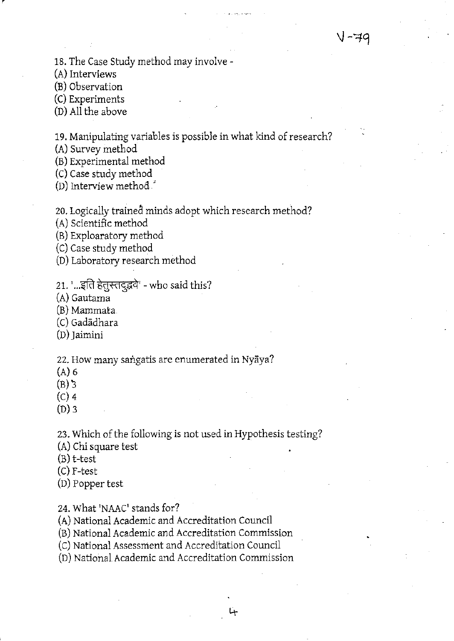\l -≠4

18. The Case Study method may involve -

(A) Interviews

(B) Observation

(C) Experiments

(D) All the above

19. Manipulating variables is possible in what kind of research?

(A) Survey method

(B) Experimental method

(C) Case study method

(D) Interview method.'

20. Logically trained minds adopt which research method?

(A) Scientific method

(B) Exploaratory method

(C) Case study method

(D) Laboratory research method

21. '...इति हेतुस्तदुद्धवे' - who said this?

(A) Gautama

(B) Mammata

(C) Gadādhara

(D) Jaimini

22. How many sangatis are enumerated in Nyaya?

- (A) 6
- $(B)$   $3$
- $(C)$  4

(D) 3

23. which of the following is not used in Hypothesis testing?

(A) Chi square test

(B) t-test

(C) F-test

(D) Popper test

24. What 'NAAC' stands for?

(A) National Academic and Accreditation Council

(B) National Academic and Accreditation Commission

(C) National Assessment and Accreditation Council

(D) National.Academic and Accreditation Commission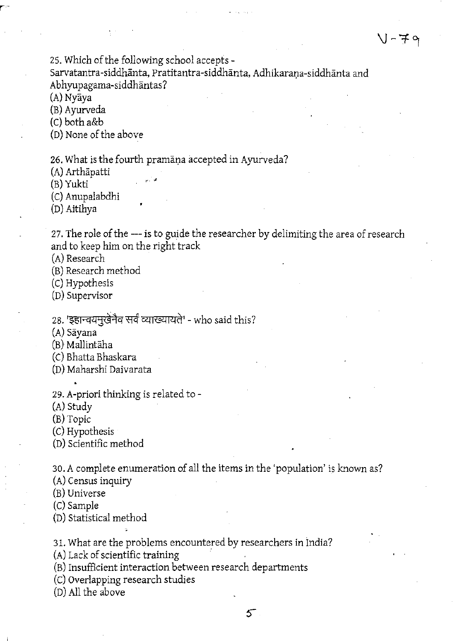25. which of the following school accepts -

Sarvatantra-siddhānta, Pratitantra-siddhānta, Adhikaraṇa-siddhānta and Abhyupagama-siddhantas?

(A) Nyaya

(B) A yurveda

(C) both a&b

(D) None of the above

26. What is the fourth pramana accepted in Ayurveda?

(A) Arthapatti

(B) Yukti

(C) Anupalabdhi

(D) Aitihya

27. The role of the --- is to guide the researcher by delimiting the area of research and to keep him on the right track

(A) Research

(B) Research method

(C) Hypothesis

(D) Supervisor

28. 'इहान्वयमुखेनैव सर्वं व्याख्यायते' - who said this?

(A) Sayana

(B) Mallintaha

(C) Bhatta Bhaskara

(D) Maharshi Daivarata

29. A-priori thinking is related to-

(A) Study

(B) TOpic

(C) Hypothesis

(D) Scientific method

30. A complete enumeration of all the items in the 'population' is known as?

(A) Census inquiry

(B) Universe

(C) Sample

(D) Statistical method

31. What are the problems encountered by researchers in India?

(A) Lack of scientific training .

(B) Insufficient interaction between research departments

(C) Overlapping research studies

(D) All the above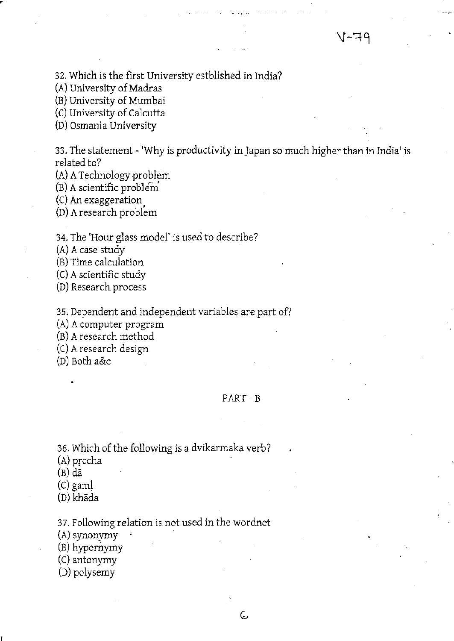32. Which is the first University estblished in India?

(A) University of Madras

(B) University of Mumbai

(C) University of Calcutta

(D) Osmania University

33. The statement - 'Why is productivity inJapan so much higher than in India' is related to?

(A) A Technology problem

(B) A scientific problem

(C) An exaggeration

(D) A research problem

34. The 'Hour glass model' is used to describe?

(A) A case study

(B) Time calculation

(C) A scientific study

(D) Research process

35. Dependent and independent variables are part of?

(A) A computer program

(B) A research method

(C) A research design

(D) Both a&c

#### PART - B

G

36. Which of the following is a dvikarmaka verb?

- (A) procha
- $(B)$  da
- (C) gam)
- (D) khada

#### 37. Following relation is not used in the wordnet

(A) synonymy

(B) hypernymy

- (C) antonymy
- (D) polysemy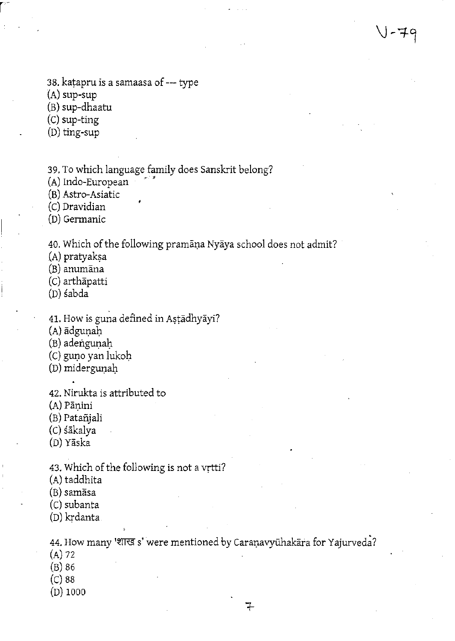38. katapru is a samaasa of --- type

(A) sup-sup

(B) sup-dhaatu

 $(C)$  sup-ting

(D) ting-sup

39. To which language family does Sanskrit belong?

(A) Indo-European

(B) Astro-Asiatic

(e) Dravidian

(D) Germanic

40. Which of the following pramana Nyaya school does not admit?

V - 79

(A) pratyaksa

(B) anumana

(e) arthapatti

(D) sabda

41. How is guna defined in Așțādhyāyi?

(A) ādguņah

(B) adengunah

(C) guno yan lukoh

(D) midergunah

42. Nirukta is attributed to

(A) Pāņini

(B) Patañiali

(C) śākalya

(D) Yaska

43. Which of the following is not a vrtti?

(A) taddhita

(B) samasa

(e) subanta

(D) krdanta.

44. How many 'शाख s' were mentioned by Caranavyūhakara for Yajurveda?

 $(A)$  72

(B) 86

 $(C) 88$ 

(D) 1000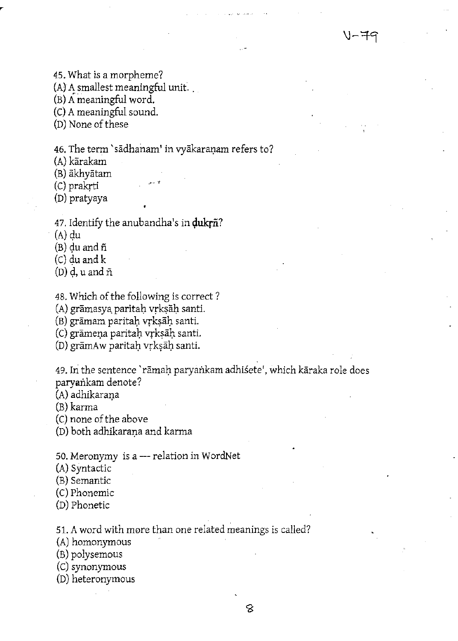45. What is a morpheme?

 $(A)$  A smallest meaningful unit.

(B) A meaningful word.

 $(C)$  A meaningful sound.

(D) None of these

46. The term 'sādhanam' in vyākaraņam refers to?

." <sup>~</sup>

(A) karakam

(B) akhyatam

(C) prakrti

(D) pratyaya

47. Identify the anubandha's in *gukrii?* 

 $(A)$  du

 $(B)$  du and  $\tilde{n}$ 

(C) du and  $k$ 

(D)  $d$ , u and  $\tilde{n}$ 

48. Which of the following is correct ?

(A) grāmasya paritah vrkṣāh santi.

(B) grāmam paritah vrkṣāḥ santi.

(c) grāmeņa paritaļi vrksāļi santi.

(D) grāmAw paritah vrkṣāḥ santi.

49. In the sentence `rāmaḥ paryankam adhiśete', which kāraka role does paryankam denote?

(A) adhikarana

(B) karma

(e) none of the above

(D) both adhikarana and karma

50. Meronymy is a --- relation in WordNet

(A) Syntactic

(B) Semantic

(e) Phonemic

(D) Phonetic

51. A word with more than one related meanings is called?

(A) homonymous

(B) polysemous

(e) synonymous

(D) heteronymous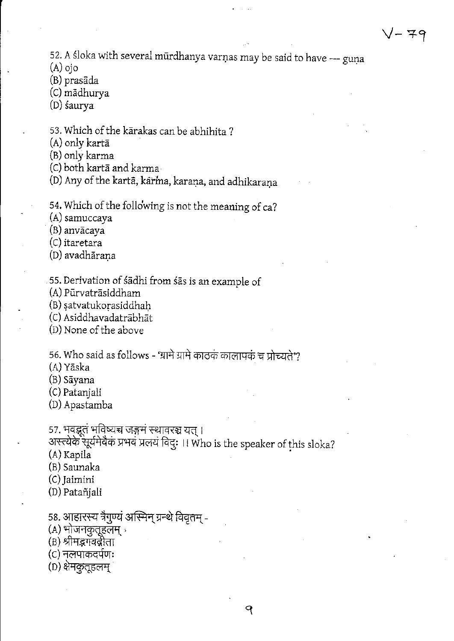/- 79

52. A śloka with several mūrdhanya varņas may be said to have --- guṇa

(A) ojo

- (B) prasada
- (e) madhurya
- (D) śaurya
- 53. Which of the karakas can be abhihita ?
- (A) only karta
- (B) only karma
- (e) both karta and karma
- (D) Any of the kartā, karma, karaņa, and adhikaraņa
- 54. Which of the following is not the meaning of ca?
- (A) samuccaya
- (B) anvacaya
- (e) itaretara
- (D) avadhārana

# 55. Derivation of sadhi from sas is an example of

- (A) Piirvatrasiddham
- (B) satvatukorasiddhah
- (e) Asiddhavadatrabhat
- (D) None of the above

56. Who said as follows - 'ग्रामे ग्रामे काठक कालापक च प्रोच्यते'?

- CA) Yaska
- (B) Sayana
- (e) Patanjali
- (D) Apastamba

57. भवद्भूतं भविष्यच जङ्गमं स्थावरञ्च यत् । अस्त्येके सूर्यमेवैक प्रभवं प्रलयं विदुः ।। Who is the speaker of this sloka? (A) Kapila (B) Saunaka

৭

- (e) jaimini
- (D) Patafijali
- 58. आहारस्य त्रैगुण्यं अस्मिन् ग्रन्थे विवृतम् -<br>(A) भोजनकुतूहलम्
- 
- (B) श्रीमद्भगवद्गीता
- (C) नलपाकदर्पणः
- (D) क्षेमकुतूहलम्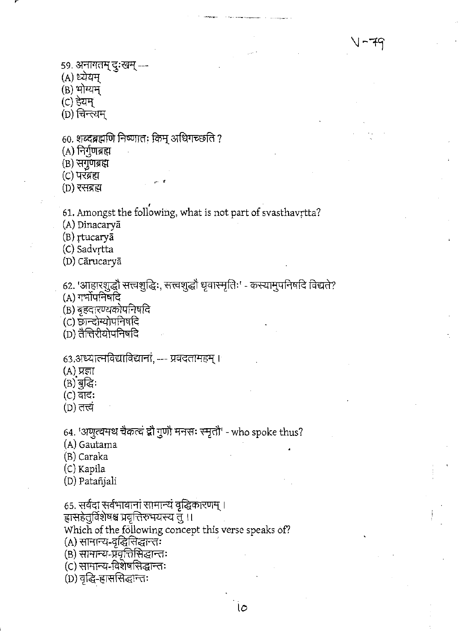59. अनागतम् दुःखम् ---

(A) ध्येयम्

(B) भोग्यम्

(C) हेयम्

(D) चिन्त्यम्

60. शब्दब्रह्मणि निष्णातः क्रिम् अधिगच्छति ?

(A) निर्गुणब्रह्म

(B) सगुणब्रह्म

(C) परंब्रह्म

(D) रसब्रह्म

61. Amongst the following, what is not part of svasthavrtta?

(A) Dinacarya

(B) rtucaryā

(C) Sadvrtta

(D) Cārucaryā

62. 'आहारशुद्धौ सत्त्वशुद्धिः, सत्त्वशुद्धौ धृवास्मृतिः' - कस्यामुपनिषदि विद्यते?

(A) गर्भोपनिषदि

(B) बृहदारण्यकोपनिषदि

(C) छान्दोग्योपनिषदि

(D) तैत्तिरीयोपनिषदि

63.अध्यात्मविद्याविद्यानां, --- प्रवदतामहम् ।

(A) प्रज्ञा

 $(B)$  बुद्धिः

 $(C)$  वादः

(D) तत्त्वं

64. 'अणुत्वमथ चैकत्वं द्वौ गुणौ मनसः स्मृतौ' - who spoke thus?

(A) Gautama

(B) Caraka

(C) Kapila

(D) Patañjali

65. सर्वदा सर्वभावानां सामान्यं वृद्धिकारणम् ।

हासहेतुर्विशेषश्च प्रवृत्तिरुभयस्य तु ।।

Which of the following concept this verse speaks of?

(A) सामान्य-वृद्धिसिद्धान्तः

(B) सामान्य-प्रवृत्तिसिद्धान्तः

(C) सामान्य-विशेषसिद्धान्तः

(D) वृद्धि-हाससिद्धान्तः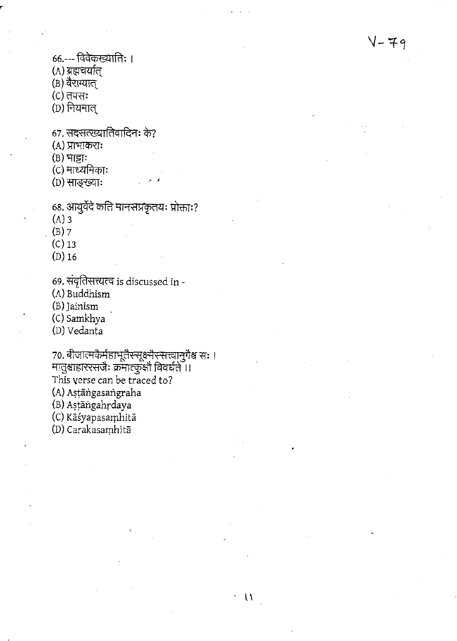$V - 79$ 

66.--- विवेकख्यातिः ।

(A) ब्रह्मचर्यात्

 $(B)$  वैराग्यात्

 $(C)$  तपसः

 $(D)$  नियमात्

67. सदसत्ख्यातिवादिनः के?

 $(A)$  प्राभाकराः

 $(B)$  भाड़ाः

 $(C)$  माध्यमिकाः

(D) साङ्ख्याः

68. आयुर्वेदे कति मानसप्रकृतयः प्रोक्ताः?

(A) 3

(B) 7

 $(C)$  13

(D) 16

69. संवृतिसत्त्यत्व is discussed in -

(A) Buddhism

(B) Jainism

(e) Samkhya

(D) Vedanta

70. बीजात्मकैर्महाभूतैस्सूक्ष्मैस्सत्त्वानुगैश्व सः । मातुश्वाहाररसजैः क्रमात्कुक्षौ विवर्धते ।। This verse can be traced to? (A) Așțāṅgasaṅgraha (B) Astāngahrdaya

(C) Kāśyapasamhitā

(D) Carakasamhita